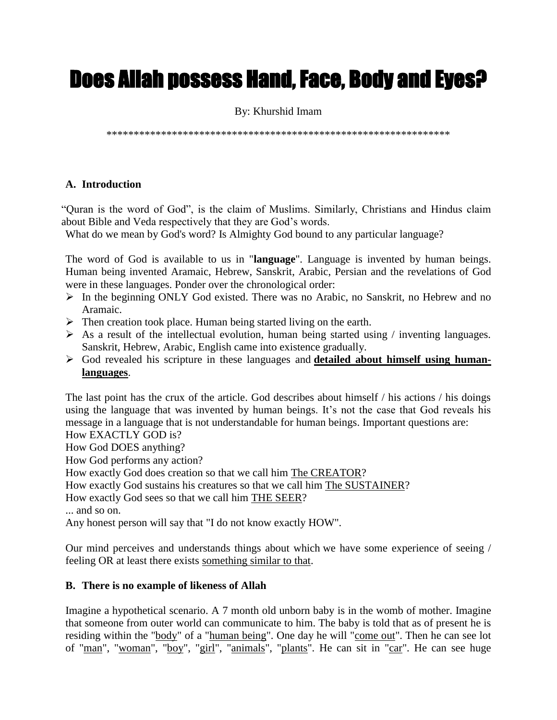# Does Allah possess Hand, Face, Body and Eyes?

## By: Khurshid Imam

\*\*\*\*\*\*\*\*\*\*\*\*\*\*\*\*\*\*\*\*\*\*\*\*\*\*\*\*\*\*\*\*\*\*\*\*\*\*\*\*\*\*\*\*\*\*\*\*\*\*\*\*\*\*\*\*\*\*\*\*\*\*\*

# **A. Introduction**

"Quran is the word of God", is the claim of Muslims. Similarly, Christians and Hindus claim about Bible and Veda respectively that they are God's words.

What do we mean by God's word? Is Almighty God bound to any particular language?

The word of God is available to us in "**language**". Language is invented by human beings. Human being invented Aramaic, Hebrew, Sanskrit, Arabic, Persian and the revelations of God were in these languages. Ponder over the chronological order:

- $\triangleright$  In the beginning ONLY God existed. There was no Arabic, no Sanskrit, no Hebrew and no Aramaic.
- $\triangleright$  Then creation took place. Human being started living on the earth.
- $\triangleright$  As a result of the intellectual evolution, human being started using / inventing languages. Sanskrit, Hebrew, Arabic, English came into existence gradually.
- God revealed his scripture in these languages and **detailed about himself using humanlanguages**.

The last point has the crux of the article. God describes about himself / his actions / his doings using the language that was invented by human beings. It's not the case that God reveals his message in a language that is not understandable for human beings. Important questions are:

How EXACTLY GOD is?

How God DOES anything?

How God performs any action?

How exactly God does creation so that we call him The CREATOR?

How exactly God sustains his creatures so that we call him The SUSTAINER?

How exactly God sees so that we call him THE SEER?

... and so on.

Any honest person will say that "I do not know exactly HOW".

Our mind perceives and understands things about which we have some experience of seeing / feeling OR at least there exists something similar to that.

### **B. There is no example of likeness of Allah**

Imagine a hypothetical scenario. A 7 month old unborn baby is in the womb of mother. Imagine that someone from outer world can communicate to him. The baby is told that as of present he is residing within the "body" of a "human being". One day he will "come out". Then he can see lot of "man", "woman", "boy", "girl", "animals", "plants". He can sit in "car". He can see huge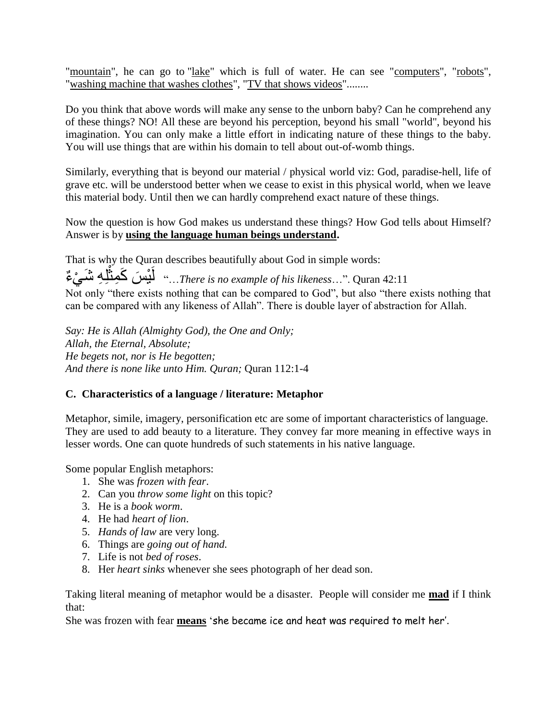"mountain", he can go to "lake" which is full of water. He can see "computers", "robots", "washing machine that washes clothes", "TV that shows videos"........

Do you think that above words will make any sense to the unborn baby? Can he comprehend any of these things? NO! All these are beyond his perception, beyond his small "world", beyond his imagination. You can only make a little effort in indicating nature of these things to the baby. You will use things that are within his domain to tell about out-of-womb things.

Similarly, everything that is beyond our material / physical world viz: God, paradise-hell, life of grave etc. will be understood better when we cease to exist in this physical world, when we leave this material body. Until then we can hardly comprehend exact nature of these things.

Now the question is how God makes us understand these things? How God tells about Himself? Answer is by **using the language human beings understand.**

That is why the Quran describes beautifully about God in simple words: ِل ِه َش ْي ء َس َكِمث ْي َل..." *There is no example of his likeness*…". Quran 42:11 ة<br>مسا Not only "there exists nothing that can be compared to God", but also "there exists nothing that can be compared with any likeness of Allah". There is double layer of abstraction for Allah.

*Say: He is Allah (Almighty God), the One and Only; Allah, the Eternal, Absolute; He begets not, nor is He begotten; And there is none like unto Him. Quran;* Quran 112:1-4

# **C. Characteristics of a language / literature: Metaphor**

Metaphor, simile, imagery, personification etc are some of important characteristics of language. They are used to add beauty to a literature. They convey far more meaning in effective ways in lesser words. One can quote hundreds of such statements in his native language.

Some popular English metaphors:

- 1. She was *frozen with fear*.
- 2. Can you *throw some light* on this topic?
- 3. He is a *book worm*.
- 4. He had *heart of lion*.
- 5. *Hands of law* are very long.
- 6. Things are *going out of hand.*
- 7. Life is not *bed of roses*.
- 8. Her *heart sinks* whenever she sees photograph of her dead son.

Taking literal meaning of metaphor would be a disaster. People will consider me **mad** if I think that:

She was frozen with fear **means** 'she became ice and heat was required to melt her'.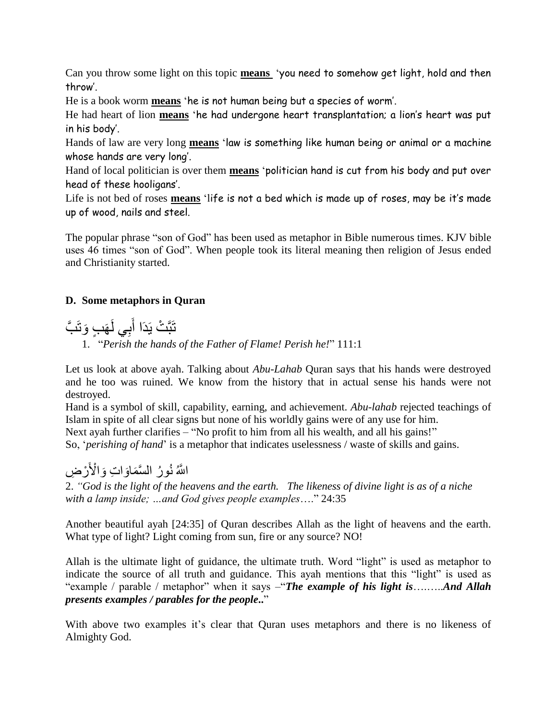Can you throw some light on this topic **means** 'you need to somehow get light, hold and then throw'.

He is a book worm **means** 'he is not human being but a species of worm'.

He had heart of lion **means** 'he had undergone heart transplantation; a lion's heart was put in his body'.

Hands of law are very long **means** 'law is something like human being or animal or a machine whose hands are very long'.

Hand of local politician is over them **means** 'politician hand is cut from his body and put over head of these hooligans'.

Life is not bed of roses **means** 'life is not a bed which is made up of roses, may be it's made up of wood, nails and steel.

The popular phrase "son of God" has been used as metaphor in Bible numerous times. KJV bible uses 46 times "son of God". When people took its literal meaning then religion of Jesus ended and Christianity started.

# **D. Some metaphors in Quran**

َ تَبَّتْ يَدَا أَبِي لَهَبٍ وَتَبَّ َ

1. "*Perish the hands of the Father of Flame! Perish he!*" 111:1

Let us look at above ayah. Talking about *Abu-Lahab* Quran says that his hands were destroyed and he too was ruined. We know from the history that in actual sense his hands were not destroyed.

Hand is a symbol of skill, capability, earning, and achievement. *Abu-lahab* rejected teachings of Islam in spite of all clear signs but none of his worldly gains were of any use for him. Next ayah further clarifies – "No profit to him from all his wealth, and all his gains!"

So, '*perishing of hand*' is a metaphor that indicates uselessness / waste of skills and gains.

# اللَّهُ نُورُ السَّمَاوَاتِ وَالْأَرْضِ

2. *"God is the light of the heavens and the earth. The likeness of divine light is as of a niche with a lamp inside; …and God gives people examples*…." 24:35

Another beautiful ayah [24:35] of Quran describes Allah as the light of heavens and the earth. What type of light? Light coming from sun, fire or any source? NO!

Allah is the ultimate light of guidance, the ultimate truth. Word "light" is used as metaphor to indicate the source of all truth and guidance. This ayah mentions that this "light" is used as "example / parable / metaphor" when it says –"*The example of his light is*….…..*And Allah presents examples / parables for the people***..**"

With above two examples it's clear that Quran uses metaphors and there is no likeness of Almighty God.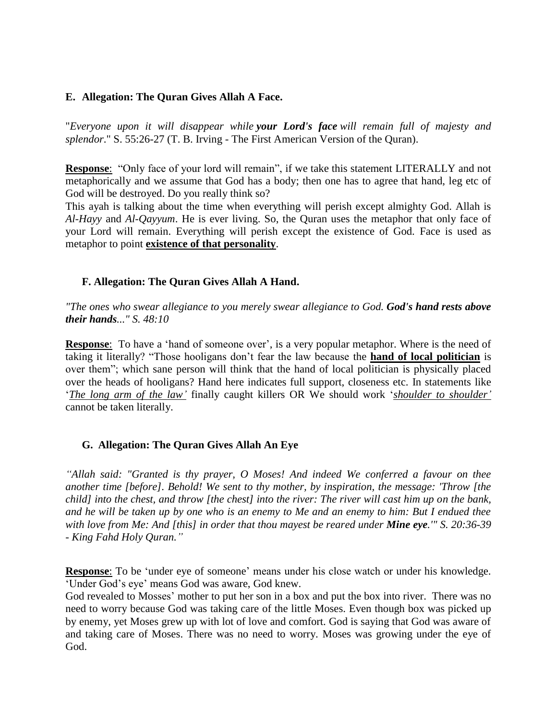#### **E. Allegation: The Quran Gives Allah A Face.**

"*Everyone upon it will disappear while your Lord's face will remain full of majesty and splendor*." S. 55:26-27 (T. B. Irving - The First American Version of the Quran).

**Response:** "Only face of your lord will remain", if we take this statement LITERALLY and not metaphorically and we assume that God has a body; then one has to agree that hand, leg etc of God will be destroyed. Do you really think so?

This ayah is talking about the time when everything will perish except almighty God. Allah is *Al-Hayy* and *Al-Qayyum*. He is ever living. So, the Quran uses the metaphor that only face of your Lord will remain. Everything will perish except the existence of God. Face is used as metaphor to point **existence of that personality**.

#### **F. Allegation: The Quran Gives Allah A Hand.**

*"The ones who swear allegiance to you merely swear allegiance to God. God's hand rests above their hands..." S. 48:10*

**Response:** To have a 'hand of someone over', is a very popular metaphor. Where is the need of taking it literally? "Those hooligans don't fear the law because the **hand of local politician** is over them"; which sane person will think that the hand of local politician is physically placed over the heads of hooligans? Hand here indicates full support, closeness etc. In statements like '*The long arm of the law'* finally caught killers OR We should work '*shoulder to shoulder'* cannot be taken literally.

### **G. Allegation: The Quran Gives Allah An Eye**

*"Allah said: "Granted is thy prayer, O Moses! And indeed We conferred a favour on thee another time [before]. Behold! We sent to thy mother, by inspiration, the message: 'Throw [the child] into the chest, and throw [the chest] into the river: The river will cast him up on the bank, and he will be taken up by one who is an enemy to Me and an enemy to him: But I endued thee with love from Me: And [this] in order that thou mayest be reared under Mine eye.'" S. 20:36-39 - King Fahd Holy Quran."*

**Response**: To be 'under eye of someone' means under his close watch or under his knowledge. 'Under God's eye' means God was aware, God knew.

God revealed to Mosses' mother to put her son in a box and put the box into river. There was no need to worry because God was taking care of the little Moses. Even though box was picked up by enemy, yet Moses grew up with lot of love and comfort. God is saying that God was aware of and taking care of Moses. There was no need to worry. Moses was growing under the eye of God.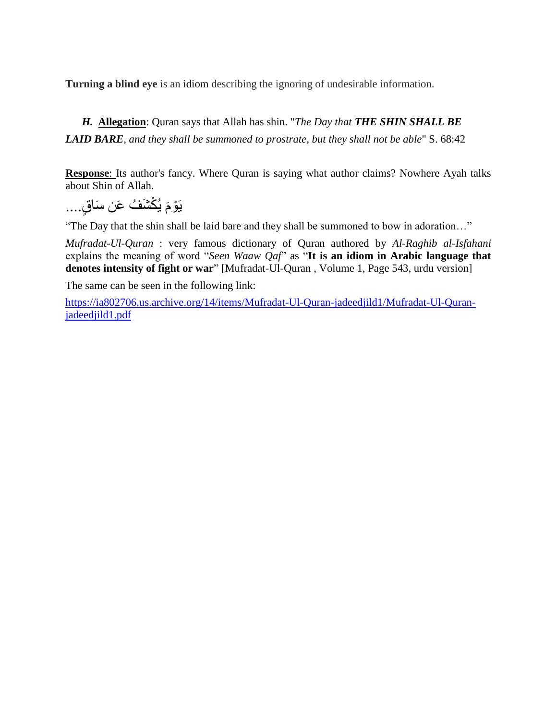**Turning a blind eye** is an idiom describing the ignoring of undesirable information.

*H.* **Allegation**: Quran says that Allah has shin. "*The Day that THE SHIN SHALL BE LAID BARE, and they shall be summoned to prostrate, but they shall not be able*" S. 68:42

**Response**: Its author's fancy. Where Quran is saying what author claims? Nowhere Ayah talks about Shin of Allah.

ٍق ْك َش ُف َعن َسا يُ َ يَ ْوم ....

"The Day that the shin shall be laid bare and they shall be summoned to bow in adoration…"

*Mufradat-Ul-Quran* : very famous dictionary of Quran authored by *Al-Raghib al-Isfahani*  explains the meaning of word "*Seen Waaw Qaf*" as "**It is an idiom in Arabic language that denotes intensity of fight or war**" [Mufradat-Ul-Quran , Volume 1, Page 543, urdu version]

The same can be seen in the following link:

[https://ia802706.us.archive.org/14/items/Mufradat-Ul-Quran-jadeedjild1/Mufradat-Ul-Quran](https://ia802706.us.archive.org/14/items/Mufradat-Ul-Quran-jadeedjild1/Mufradat-Ul-Quran-jadeedjild1.pdf)[jadeedjild1.pdf](https://ia802706.us.archive.org/14/items/Mufradat-Ul-Quran-jadeedjild1/Mufradat-Ul-Quran-jadeedjild1.pdf)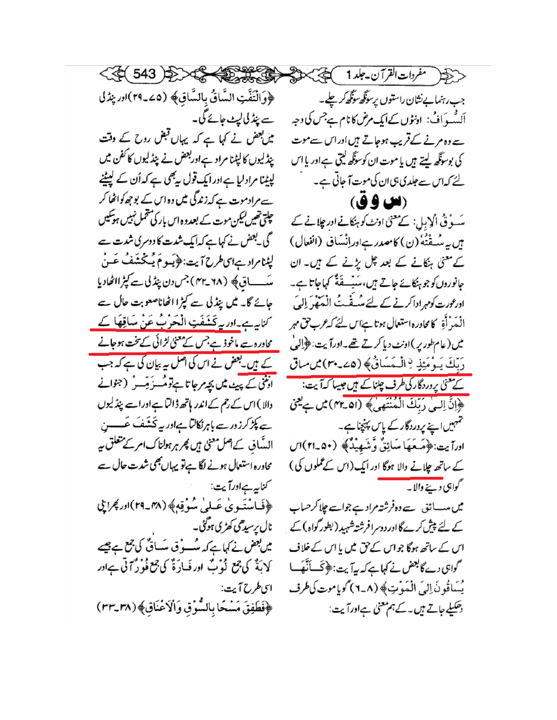< تَجِبْر مفردات القرآن-جلد1 ) محجج بحثة محص  $\left\langle 1.310 \right\rangle 1.43$ 

﴿ وَالْتَفَّتِ السَّاقُ بِالسَّاقِ﴾ (24\_٢٩) اور ينزل ے پنڈ کی لیٹ جائے گی۔ میں بعض نے کہا ہے کہ یہاں قبض روح کے وقت پیڈلیوں کالپٹنا مراد ہےاوربعض نے پیڈلیوں کا کفن میں لپیٹنا مرادلیا ہے اور ایک قول بیٹھی ہے کہ اُن کے لیٹینے سے مرادموت ہے کہ زندگی میں وہ اس کے بوجھ کواٹھا کر چلتی تھیں *لیکن م*وت کے بعدوہ اس بار کی تتحمل نہیں ہوتکیں گی لبھض نے کہاہے کہ ایک شدت کا دوسری شدت ہے لپٹنامرادےاسطرح آیت:﴿یَعومَ یُکْشَفُ عَنْ سَاق& (۲۸-۴۳)جس دن پنڈل ہے کپڑ الٹھادیا جائے گا۔ میں پنڈلی سے کپڑا اٹھاناصعوبت حال سے کناری*ے۔اور یہ* کَشَفَتِ الْحَرْبُ عَنْ سَاقِ<del>ھَا ک</del>ے محاورہ سے ماخوذ ہے جس کے معنیٰ لڑائی کے تخت ہوجانے کے ہیں۔بعض نے اس کی اصل پہ بیان کی ہے کہ جب انٹی کے پیٹ میں بچہ رجاتا ہے تومُسزَ مِسو ٗ (جوانے دالا) اس کے رحم کے اندر ہاتھ ڈالٹا ہے اورات پنڈلیوں ہے پکڑ کرزور سے پاہرنگالٹا ہےاور یہ تحشف عَــــــن الہ ؓاق کےاصل معنیٰ ہیں پھر ہر ہولناک امر کے متعلق ہیے محاورہ استعال ہونے لگا ہےنو پیہاں بھی شدت حال ہے کناپہ ہےاورآیت ﴿فَاسْتَهُويٰ عَسْلَىٰ سُوْقِهِ﴾ (٣٨\_٢٩)اور مُجرايي نال پرسیدھی کھڑی ہوگئی۔ میں بعض نے کہاہے کہ مٹسوف میسائی کی جمع ہے كَا بَةٌ كَيْ جَمْعٍ نُوْبٌ اور فَسَارَةٌ كَي جَمْ فُوْرٌ أَنْيَ سِبَادِر ای طرح آیت: ﴿فَطَفِقَ مَسْحًا بِالسُّوْقِ وَالْاَعْنَاقِ﴾ (٣٣\_٣٣)

جب رہنمایےنثان راستوں پرسوگھ سوگھ کرچلے۔ اَلِسُّه دَافُ: ادنٹوں کےایک مرض کا نام ہےجس کی وجہ سے وہ مرنے کے قریب ہوجاتے ہیں اور اس سے موت کی بوسوگھ لیتے ہیں یا موت ان کوسوگھ لیتی ہےاور یا اس لئے کہ اس سے جلدی ہی ان کی موت آ جاتی ہے۔

(الله لوفى) سَوْقُ الْإِبِلِ: كے معنیٰ اونٹ کو ہنکانے اور چلانے کے بِن بِهِ سُهِقْنُهُ (ن) كامصدر ہےاوراِنْسَاق (انفعال) کے معنی ہنکانے کے بعد چل یڑنے کے ہیں۔ ان جانوروں کو جو ہنگائے جاتے ہیں، سَیّٹ قَدَّ کہاجاتا ہے۔ ادرعورت کومہرادا کرنے کے لئے میں قَفتُ الْمَعَفِّرَ إِلَيَ الْمَدْأَةِ كامحادره استعال ہوتا ہے اس لئے کہ عرب حق مہر میں (عام طور پر )اونٹ دیا کرتے تھے۔اورآیت: ﴿ إِلَيٰ رَبِّكَ يَوْمَئِذٍ لِالْمَسَاقُ﴾ (20.4%) مُن ساق ۔<br>کے معنیٰ یروردگار کی طرف چلنا کے <del>ہیں جیسا</del> کہ آیت: ﴿ إِنَّ إِلَى رَبِّكَ الْمُنْتَهِىِ ﴾ (٣٢. ٣٢) مِن بِيعِي حمہیں اپنے پروردگار کے پاس پہنچناہے۔ اوراً بت:﴿مَعَهَا سَائِقٌ وَشَهِيْدٌ﴾ (٥٠-٢١) ال کے ساتھ چلانے والا ہوگا اور ایک(اس کے عملوں کی) گواہی <u>د سنے والا</u>۔ میں میسانق ہے وہ فرشتہ مراد ہے جواسے چلا کر حساب کے لئے پیش کرے گااور دوسرا فرشتہ شہید (بطور گواہ) کے اس کے ساتھ ہوگا جواس کے حق میں یا اس کے خلاف گواہی دے گابعض نے کہاہے کہ یہ آیت:﴿ حَسَنَ أَیْفَ ا يُسَاقُونَ إِلَى الْمَوْتِ ﴾ (٨-٦) كوياموت كى طرف دھکیلے جاتے ہیں۔ کے ہم معنی ہےاورآیت: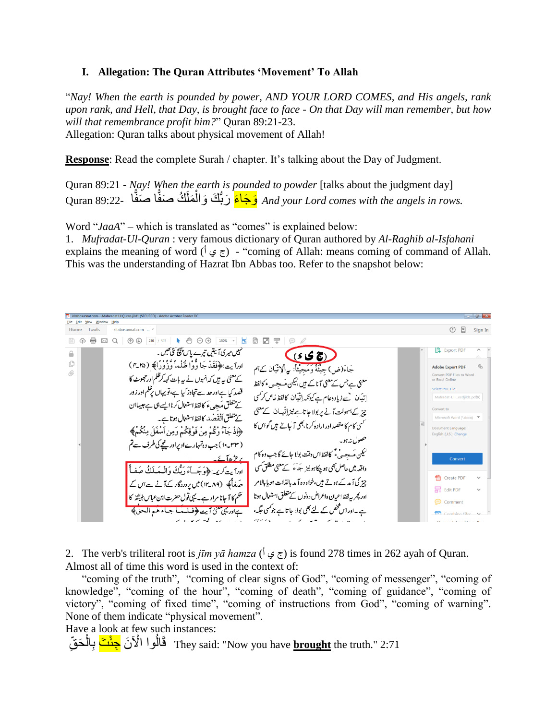#### **I. Allegation: The Quran Attributes 'Movement' To Allah**

"*Nay! When the earth is pounded by power, AND YOUR LORD COMES, and His angels, rank upon rank, and Hell, that Day, is brought face to face - On that Day will man remember, but how will that remembrance profit him?*" Quran 89:21-23. Allegation: Quran talks about physical movement of Allah!

**Response**: Read the complete Surah / chapter. It's talking about the Day of Judgment.

Quran 89:21 - *Nay! When the earth is pounded to powder* [talks about the judgment day] ا 89:22- Quran َصف ا ُك َصف َملَ ُّ َك َوال َء َرب جاَ وَ *And your Lord comes with the angels in rows.* ًّ ًّ ْ

Word "*JaaA*" – which is translated as "comes" is explained below:

1. *Mufradat-Ul-Quran* : very famous dictionary of Quran authored by *Al-Raghib al-Isfahani* explains the meaning of word  $(\frac{1}{2}, \frac{1}{2})$  - "coming of Allah: means coming of command of Allah. This was the understanding of Hazrat Ibn Abbas too. Refer to the snapshot below:

Home Tools kitabosunnat.com- $\odot$   $\mathbb{R}$ Sign In سمبیں میری آئیتیں تیرے پاس<sup>پہنچ</sup> کی تھیں۔ **B** Export PDF  $(s \mathcal{S})$  $\widehat{\phantom{m}}$ ادرآيت ﴿ فَقَدْ جَا وُّوْا ظُلْماً وَّزُوْرًا﴾ (٣٤٥) ¢ جَاءَ(ض) جيئَةً وَمَجِينًاْ: بِهِ الْإِنْبَانِ کَيْهَم **Adobe Export PDF** 0) onvert PDF Files to Wo<br>Excel Online کے معنیٰ یہ ہیں کہ انہوں نے یہ بات کہہ کرظلم اورحجعوٹ کا معنی ہے جس کے معنی آتا کے ہ<sub>ی</sub>ں بلیکن م<sup>ق</sup>سجہ <sub>ی</sub>ءَ کالفظ قصد کیا ہے اور حد سے تجاوز کیا ہے، تو پیہاں پرظلم اور زور اتیان ہے زیادہ عام ہے کیونکہ اِتّیان کالفظ غاص کرکسی کے تعلق مَجہ ، کالفظ استعال کرنا ایسے ہی ہے جیساان چز کے بسہولت آنے پر بولا جاتا ہے نیز اِنیسان کے معنی <u>کے م</u>تعلق أنقَصْد کالفظ استعال ہوتا ہے۔ کسی کام کا مقصد ادر ارادہ کرنا بھی آ جاتے ہیں گواس کا ﴿إِذْ جَآءُ وَكُمْ مِنْ فَوْقِكُمْ وَمِنِ ٱسْفَلَ مِنْكُمْ﴾ ment Language English (U.S.) Chang (۱۰ ـ ۱۰) جب وہ تہمارے ادبرادریعچے کی طرف ہے تم لىكين مَسجسيٌّ كالفظ اس دقت بولا جائے گا جب وہ كام Convert واقعہ میں ُعاصل بھی ہو چکاہو نیز جَآءَ کے معنیٰ مطلق کسی کُ اوراً يت كريمه: ﴿ وَجَسآءَ رَبُّكَ وَالْـمَسلَكُ صَف!ّ Create PDF صَفایکی (۱۳٫۸۹)میں یروردگار کے آنے سے اس کے چز کی آید کے ہوتے ہیں،خواہ د ہ آید بالذات ہویا بالامر Edit PDF ادر پھر بہ لفظ اعمان واعراض دونوں کے متعلق استعمال ہوتا تھم کا آ جانا مراد ہے۔ یہی تول حضرت ابن عباس <sub>فنافٹن</sub>و کا  $\odot$  Commen ہے ۔اوراس فمخص کے لئے بھی بولا جاتا ہے جوکسی حکمہ، ہےادر یہ معنیٰ آیت ﴿فَلَيْهَا جِبَاءَ هُمِ الْحِقَّ﴾ یں لیے سرگیز کے لیے

2. The verb's triliteral root is *jīm yā hamza* (أبو جي أ) is found 278 times in 262 ayah of Quran. Almost all of time this word is used in the context of:

 "coming of the truth", "coming of clear signs of God", "coming of messenger", "coming of knowledge", "coming of the hour", "coming of death", "coming of guidance", "coming of victory", "coming of fixed time", "coming of instructions from God", "coming of warning". None of them indicate "physical movement".

Have a look at few such instances:

لَّةَ الْمَوا الْآنَ <del>جِنْتَ</del> بِالْحَقِّ They said: "Now you have <u>brought</u> the truth." 2:71 ْ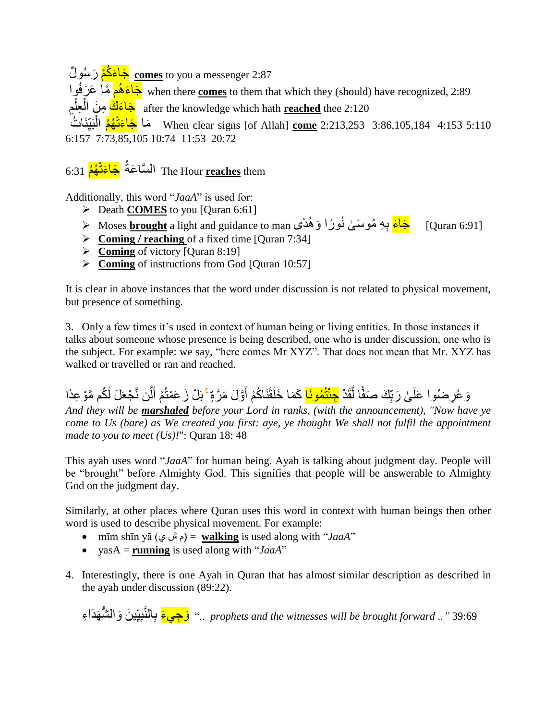َء ُكْم َر ُسو ل َجا **comes** to you a messenger 2:87 جَاعَهُم هَّـا ۖ عَرَفُو Nhen there <u>comes</u> to them that which they (should) have recognized, 2:89 after the knowledge which hath <mark>reached</mark> thee 2:120 جَاعَ<mark>كَ</mark> مِنَ الْمِطْمِ ْ ْ نَا ُت بَي ُهُم ال َءتْ َجا ماَ When clear signs [of Allah] **come** 2:213,253 3:86,105,184 4:153 5:110 ِ ْ 6:157 7:73,85,105 10:74 11:53 20:72

# The Hour <u>reaches</u> them السَّاعَةُ <mark>جَاءَتْهُمُ</mark> 6:31

Additionally, this word "*JaaA*" is used for:

- Death **COMES** to you [Quran 6:61]
- [Quran 6:91] <mark>جَاءَ</mark> بِهِ مُوسَىٰ نُورًا وَ هُدًى Moses <mark>brought</mark> a light and guidance to man <
- **Example 2** Coming *l* reaching of a fixed time [Quran 7:34]
- **Coming** of victory [Quran 8:19]
- **Example 3** Coming of instructions from God [Quran 10:57]

It is clear in above instances that the word under discussion is not related to physical movement, but presence of something.

3. Only a few times it's used in context of human being or living entities. In those instances it talks about someone whose presence is being described, one who is under discussion, one who is the subject. For example: we say, "here comes Mr XYZ". That does not mean that Mr. XYZ has walked or travelled or ran and reached.

وَ عُرِ ضُوا عَلَىٰ رَبِّكَ صَفًّا لَّقَدْ <mark>جِئْتُمُونَـا</mark> كَمَا خَلَقْنَاكُمْ أَوَّلَ مَرَّةٍ ۚ بَلْ زَعَمْتُمْ أَلَّن نَّجْعَلَ لَكُم مَّوْ عِدًا َ أ َّ ًّ ِ ֧֖֖֖֖֖֖֖֧֚֚֚֚֚֚֚֚֚֚֚֟<u>֚</u>

*And they will be marshaled before your Lord in ranks, (with the announcement), "Now have ye come to Us (bare) as We created you first: aye, ye thought We shall not fulfil the appointment made to you to meet (Us)!*": Quran 18: 48

This ayah uses word "*JaaA*" for human being. Ayah is talking about judgment day. People will be "brought" before Almighty God. This signifies that people will be answerable to Almighty God on the judgment day.

Similarly, at other places where Quran uses this word in context with human beings then other word is used to describe physical movement. For example:

- mīm shīn yā (ي ش م = (**walking** is used along with "*JaaA*"
- yasA = **running** is used along with "*JaaA*"
- 4. Interestingly, there is one Ayah in Quran that has almost similar description as described in the ayah under discussion (89:22).

y rophets and the witnesses will be brought forward .." 39:69 ..." <u>وَجِي</u>ءَ بِالنَّبِيِّينَ وَالشَّهَدَاءِ ِ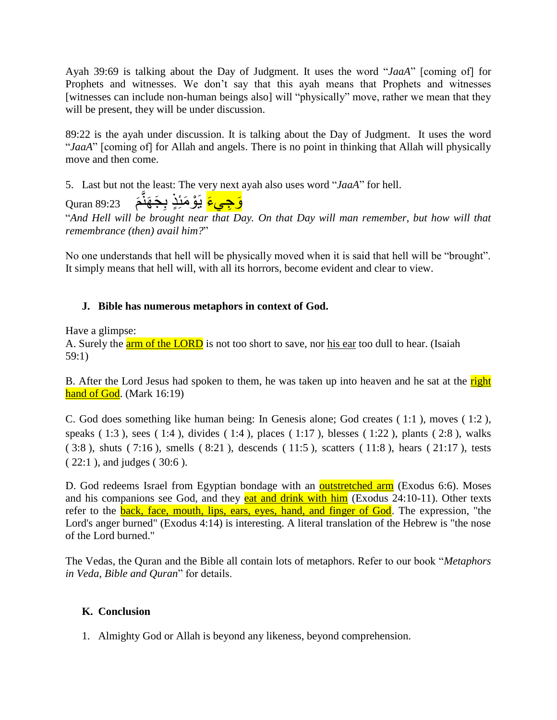Ayah 39:69 is talking about the Day of Judgment. It uses the word "*JaaA*" [coming of] for Prophets and witnesses. We don't say that this ayah means that Prophets and witnesses [witnesses can include non-human beings also] will "physically" move, rather we mean that they will be present, they will be under discussion.

89:22 is the ayah under discussion. It is talking about the Day of Judgment. It uses the word "*JaaA*" [coming of] for Allah and angels. There is no point in thinking that Allah will physically move and then come.

5. Last but not the least: The very next ayah also uses word "*JaaA*" for hell.

Quran 89:23 َ م ِ َج َهن َو ِجي َء يَ ْو َمئِ ٍذ ب ام<br>ا

"*And Hell will be brought near that Day. On that Day will man remember, but how will that remembrance (then) avail him?*"

No one understands that hell will be physically moved when it is said that hell will be "brought". It simply means that hell will, with all its horrors, become evident and clear to view.

# **J. Bible has numerous metaphors in context of God.**

Have a glimpse:

A. Surely the **arm of the LORD** is not too short to save, nor his ear too dull to hear. (Isaiah 59:1)

B. After the Lord Jesus had spoken to them, he was taken up into heaven and he sat at the right hand of God. (Mark 16:19)

C. God does something like human being: In Genesis alone; God creates ( 1:1 ), moves ( 1:2 ), speaks ( 1:3 ), sees ( 1:4 ), divides ( 1:4 ), places ( 1:17 ), blesses ( 1:22 ), plants ( 2:8 ), walks ( 3:8 ), shuts ( 7:16 ), smells ( 8:21 ), descends ( 11:5 ), scatters ( 11:8 ), hears ( 21:17 ), tests ( 22:1 ), and judges ( 30:6 ).

D. God redeems Israel from Egyptian bondage with an **outstretched arm** (Exodus 6:6). Moses and his companions see God, and they **eat and drink with him** (Exodus  $24:10-11$ ). Other texts refer to the **back**, face, mouth, lips, ears, eyes, hand, and finger of God. The expression, "the Lord's anger burned" (Exodus 4:14) is interesting. A literal translation of the Hebrew is "the nose of the Lord burned."

The Vedas, the Quran and the Bible all contain lots of metaphors. Refer to our book "*Metaphors in Veda, Bible and Quran*" for details.

# **K. Conclusion**

1. Almighty God or Allah is beyond any likeness, beyond comprehension.